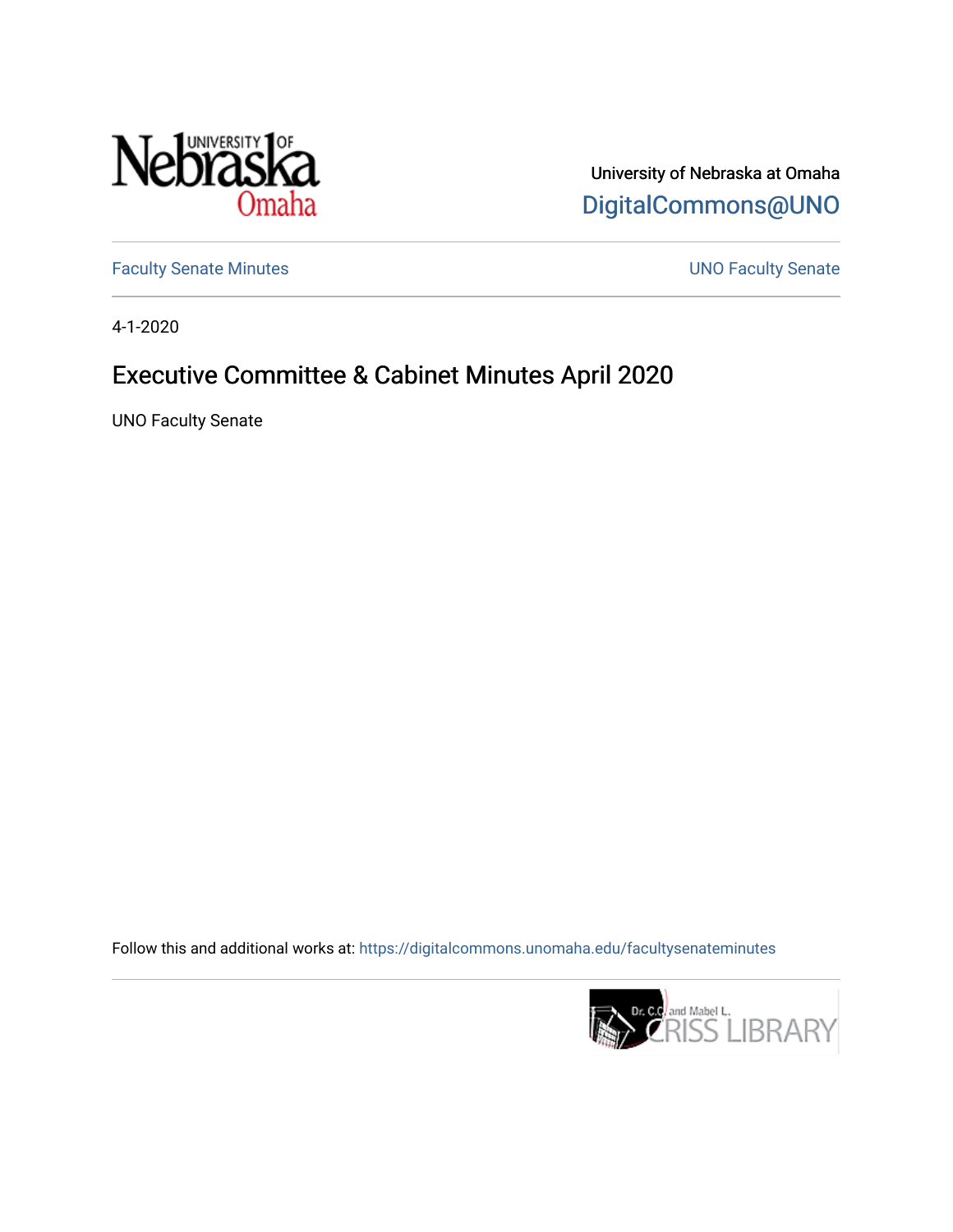

University of Nebraska at Omaha [DigitalCommons@UNO](https://digitalcommons.unomaha.edu/) 

[Faculty Senate Minutes](https://digitalcommons.unomaha.edu/facultysenateminutes) **Exercise Senate UNO Faculty Senate** 

4-1-2020

# Executive Committee & Cabinet Minutes April 2020

UNO Faculty Senate

Follow this and additional works at: [https://digitalcommons.unomaha.edu/facultysenateminutes](https://digitalcommons.unomaha.edu/facultysenateminutes?utm_source=digitalcommons.unomaha.edu%2Ffacultysenateminutes%2F122&utm_medium=PDF&utm_campaign=PDFCoverPages) 

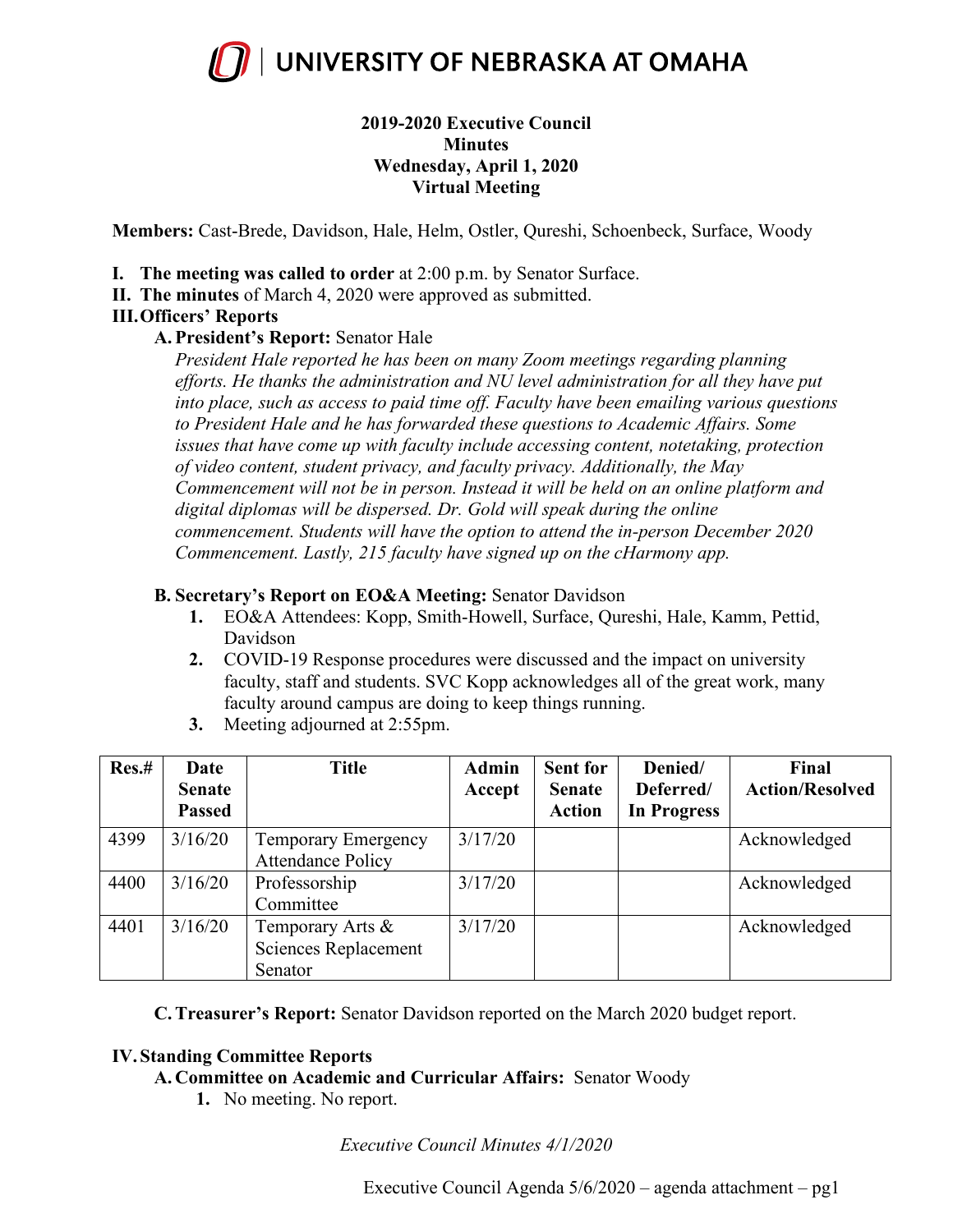

# **2019-2020 Executive Council Minutes Wednesday, April 1, 2020 Virtual Meeting**

**Members:** Cast-Brede, Davidson, Hale, Helm, Ostler, Qureshi, Schoenbeck, Surface, Woody

- **I. The meeting was called to order** at 2:00 p.m. by Senator Surface.
- **II. The minutes** of March 4, 2020 were approved as submitted.

# **III.Officers' Reports**

# **A. President's Report:** Senator Hale

*President Hale reported he has been on many Zoom meetings regarding planning efforts. He thanks the administration and NU level administration for all they have put into place, such as access to paid time off. Faculty have been emailing various questions to President Hale and he has forwarded these questions to Academic Affairs. Some issues that have come up with faculty include accessing content, notetaking, protection of video content, student privacy, and faculty privacy. Additionally, the May Commencement will not be in person. Instead it will be held on an online platform and digital diplomas will be dispersed. Dr. Gold will speak during the online commencement. Students will have the option to attend the in-person December 2020 Commencement. Lastly, 215 faculty have signed up on the cHarmony app.*

# **B. Secretary's Report on EO&A Meeting:** Senator Davidson

- **1.** EO&A Attendees: Kopp, Smith-Howell, Surface, Qureshi, Hale, Kamm, Pettid, Davidson
- **2.** COVID-19 Response procedures were discussed and the impact on university faculty, staff and students. SVC Kopp acknowledges all of the great work, many faculty around campus are doing to keep things running.
- **3.** Meeting adjourned at 2:55pm.

| Res.# | Date          | <b>Title</b>               | <b>Admin</b> | <b>Sent for</b> | Denied/     | Final                  |
|-------|---------------|----------------------------|--------------|-----------------|-------------|------------------------|
|       | <b>Senate</b> |                            | Accept       | <b>Senate</b>   | Deferred/   | <b>Action/Resolved</b> |
|       | <b>Passed</b> |                            |              | <b>Action</b>   | In Progress |                        |
| 4399  | 3/16/20       | <b>Temporary Emergency</b> | 3/17/20      |                 |             | Acknowledged           |
|       |               | <b>Attendance Policy</b>   |              |                 |             |                        |
| 4400  | 3/16/20       | Professorship              | 3/17/20      |                 |             | Acknowledged           |
|       |               | Committee                  |              |                 |             |                        |
| 4401  | 3/16/20       | Temporary Arts &           | 3/17/20      |                 |             | Acknowledged           |
|       |               | Sciences Replacement       |              |                 |             |                        |
|       |               | Senator                    |              |                 |             |                        |

**C.Treasurer's Report:** Senator Davidson reported on the March 2020 budget report.

# **IV. Standing Committee Reports**

# **A. Committee on Academic and Curricular Affairs:** Senator Woody

**1.** No meeting. No report.

*Executive Council Minutes 4/1/2020*

Executive Council Agenda 5/6/2020 – agenda attachment – pg1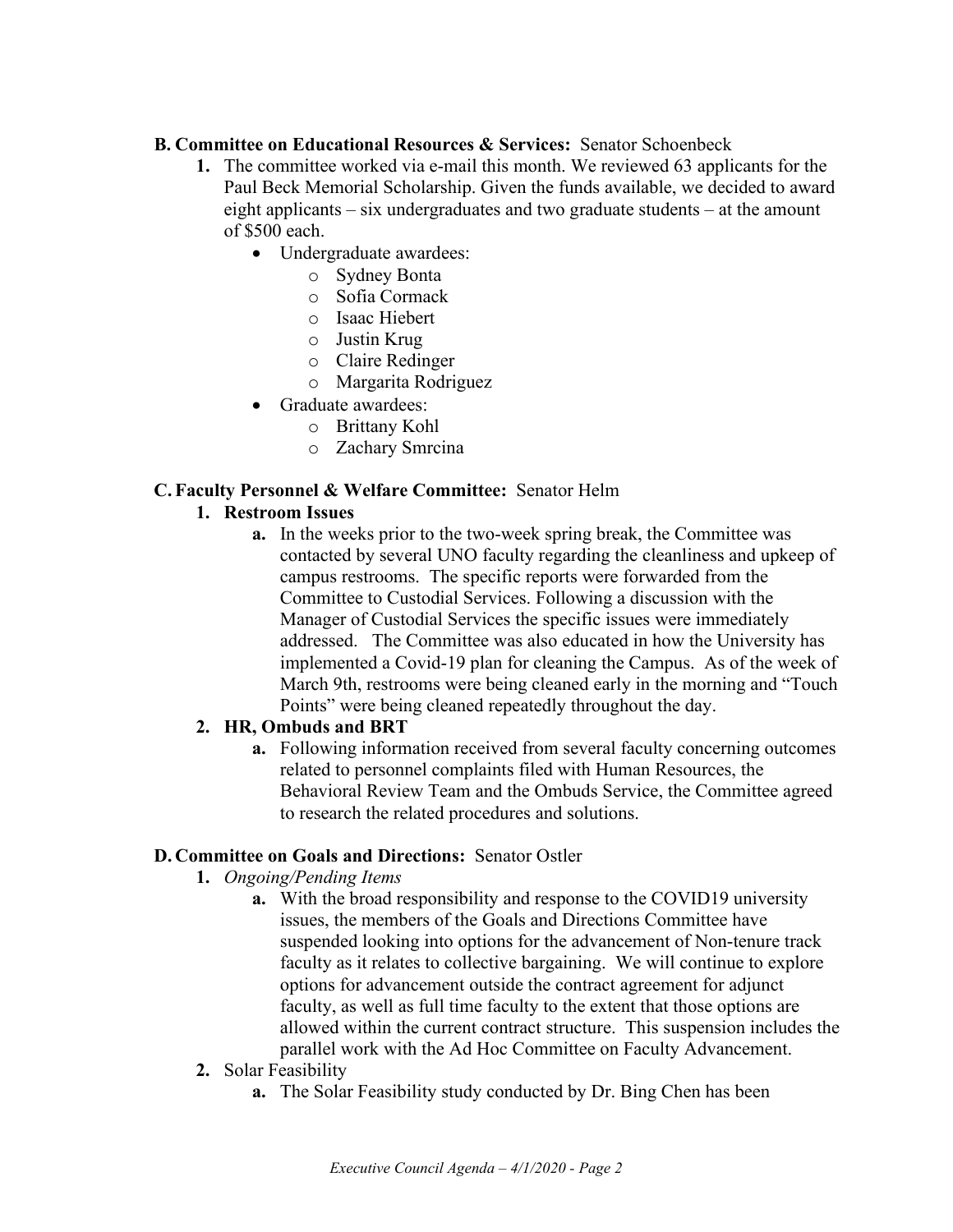## **B. Committee on Educational Resources & Services:** Senator Schoenbeck

- **1.** The committee worked via e-mail this month. We reviewed 63 applicants for the Paul Beck Memorial Scholarship. Given the funds available, we decided to award eight applicants – six undergraduates and two graduate students – at the amount of \$500 each.
	- Undergraduate awardees:
		- o Sydney Bonta
		- o Sofia Cormack
		- o Isaac Hiebert
		- o Justin Krug
		- o Claire Redinger
		- o Margarita Rodriguez
	- Graduate awardees:
		- o Brittany Kohl
		- o Zachary Smrcina

## **C. Faculty Personnel & Welfare Committee:** Senator Helm

## **1. Restroom Issues**

**a.** In the weeks prior to the two-week spring break, the Committee was contacted by several UNO faculty regarding the cleanliness and upkeep of campus restrooms. The specific reports were forwarded from the Committee to Custodial Services. Following a discussion with the Manager of Custodial Services the specific issues were immediately addressed. The Committee was also educated in how the University has implemented a Covid-19 plan for cleaning the Campus. As of the week of March 9th, restrooms were being cleaned early in the morning and "Touch Points" were being cleaned repeatedly throughout the day.

# **2. HR, Ombuds and BRT**

**a.** Following information received from several faculty concerning outcomes related to personnel complaints filed with Human Resources, the Behavioral Review Team and the Ombuds Service, the Committee agreed to research the related procedures and solutions.

#### **D. Committee on Goals and Directions:** Senator Ostler

- **1.** *Ongoing/Pending Items*
	- **a.** With the broad responsibility and response to the COVID19 university issues, the members of the Goals and Directions Committee have suspended looking into options for the advancement of Non-tenure track faculty as it relates to collective bargaining. We will continue to explore options for advancement outside the contract agreement for adjunct faculty, as well as full time faculty to the extent that those options are allowed within the current contract structure. This suspension includes the parallel work with the Ad Hoc Committee on Faculty Advancement.
- **2.** Solar Feasibility
	- **a.** The Solar Feasibility study conducted by Dr. Bing Chen has been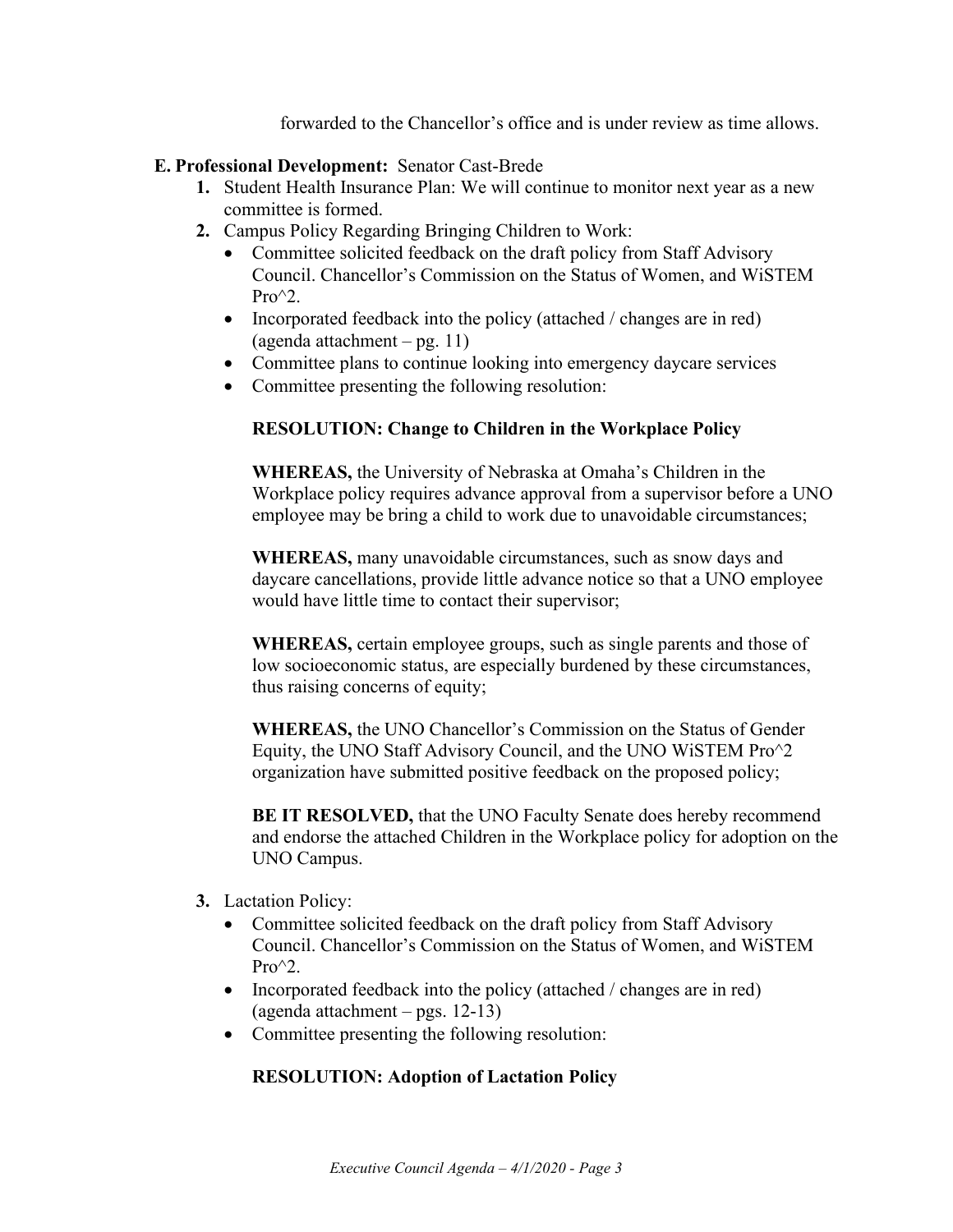forwarded to the Chancellor's office and is under review as time allows.

#### **E. Professional Development:** Senator Cast-Brede

- **1.** Student Health Insurance Plan: We will continue to monitor next year as a new committee is formed.
- **2.** Campus Policy Regarding Bringing Children to Work:
	- Committee solicited feedback on the draft policy from Staff Advisory Council. Chancellor's Commission on the Status of Women, and WiSTEM  $Pro^{\wedge}2$ .
	- Incorporated feedback into the policy (attached / changes are in red) (agenda attachment – pg. 11)
	- Committee plans to continue looking into emergency daycare services
	- Committee presenting the following resolution:

## **RESOLUTION: Change to Children in the Workplace Policy**

**WHEREAS,** the University of Nebraska at Omaha's Children in the Workplace policy requires advance approval from a supervisor before a UNO employee may be bring a child to work due to unavoidable circumstances;

**WHEREAS,** many unavoidable circumstances, such as snow days and daycare cancellations, provide little advance notice so that a UNO employee would have little time to contact their supervisor;

**WHEREAS,** certain employee groups, such as single parents and those of low socioeconomic status, are especially burdened by these circumstances, thus raising concerns of equity;

**WHEREAS,** the UNO Chancellor's Commission on the Status of Gender Equity, the UNO Staff Advisory Council, and the UNO WiSTEM Pro^2 organization have submitted positive feedback on the proposed policy;

**BE IT RESOLVED, that the UNO Faculty Senate does hereby recommend** and endorse the attached Children in the Workplace policy for adoption on the UNO Campus.

- **3.** Lactation Policy:
	- Committee solicited feedback on the draft policy from Staff Advisory Council. Chancellor's Commission on the Status of Women, and WiSTEM  $Pro^{\wedge}2$ .
	- Incorporated feedback into the policy (attached / changes are in red) (agenda attachment – pgs. 12-13)
	- Committee presenting the following resolution:

#### **RESOLUTION: Adoption of Lactation Policy**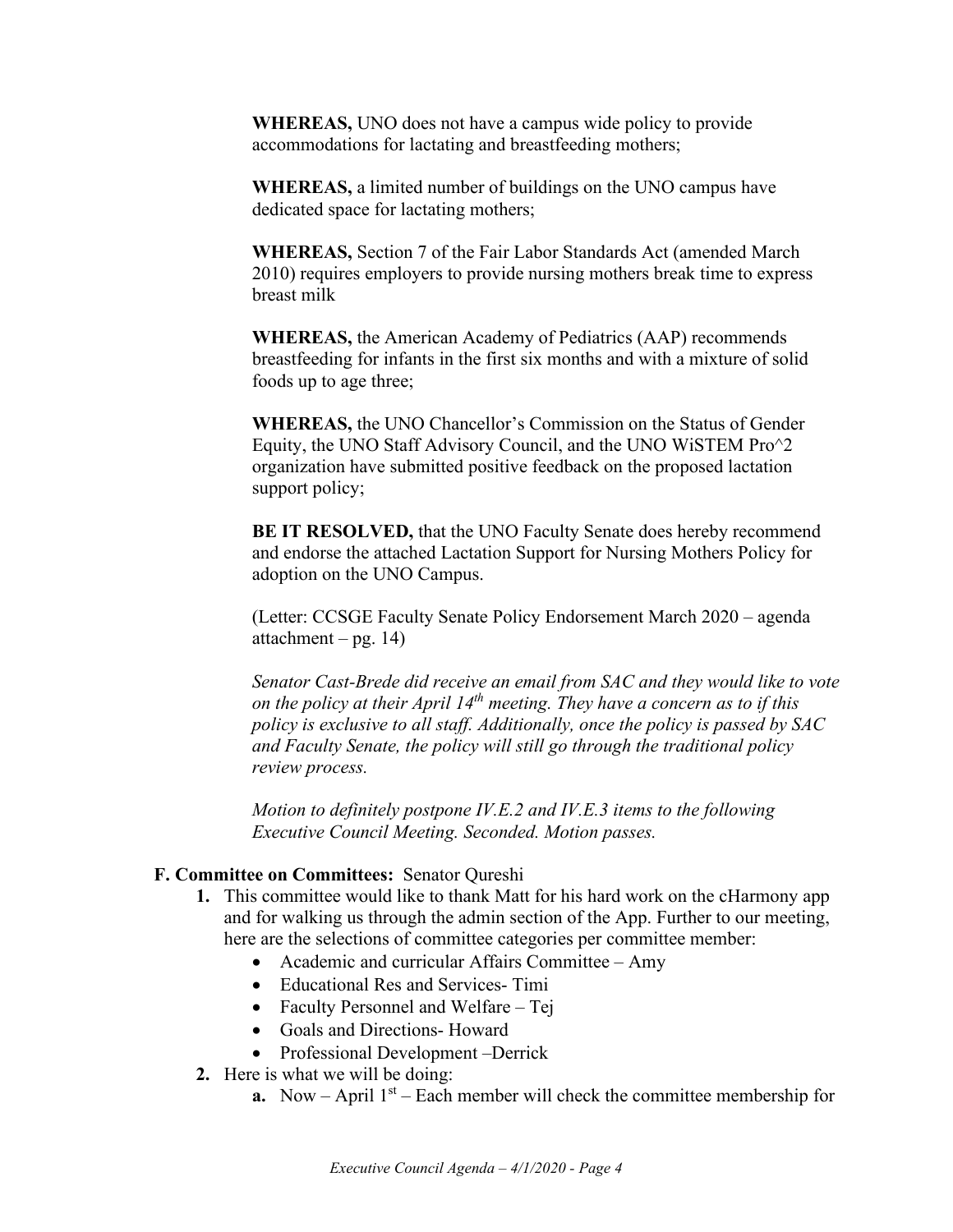**WHEREAS,** UNO does not have a campus wide policy to provide accommodations for lactating and breastfeeding mothers;

**WHEREAS,** a limited number of buildings on the UNO campus have dedicated space for lactating mothers;

**WHEREAS,** Section 7 of the Fair Labor Standards Act (amended March 2010) requires employers to provide nursing mothers break time to express breast milk

**WHEREAS,** the American Academy of Pediatrics (AAP) recommends breastfeeding for infants in the first six months and with a mixture of solid foods up to age three;

**WHEREAS,** the UNO Chancellor's Commission on the Status of Gender Equity, the UNO Staff Advisory Council, and the UNO WiSTEM Pro^2 organization have submitted positive feedback on the proposed lactation support policy;

**BE IT RESOLVED,** that the UNO Faculty Senate does hereby recommend and endorse the attached Lactation Support for Nursing Mothers Policy for adoption on the UNO Campus.

(Letter: CCSGE Faculty Senate Policy Endorsement March 2020 – agenda attachment – pg.  $14$ )

*Senator Cast-Brede did receive an email from SAC and they would like to vote on the policy at their April 14th meeting. They have a concern as to if this policy is exclusive to all staff. Additionally, once the policy is passed by SAC and Faculty Senate, the policy will still go through the traditional policy review process.* 

*Motion to definitely postpone IV.E.2 and IV.E.3 items to the following Executive Council Meeting. Seconded. Motion passes.* 

#### **F. Committee on Committees:** Senator Qureshi

- **1.** This committee would like to thank Matt for his hard work on the cHarmony app and for walking us through the admin section of the App. Further to our meeting, here are the selections of committee categories per committee member:
	- Academic and curricular Affairs Committee Amy
	- Educational Res and Services- Timi
	- Faculty Personnel and Welfare Tej
	- Goals and Directions- Howard
	- Professional Development –Derrick
- **2.** Here is what we will be doing:
	- **a.** Now April  $1<sup>st</sup>$  Each member will check the committee membership for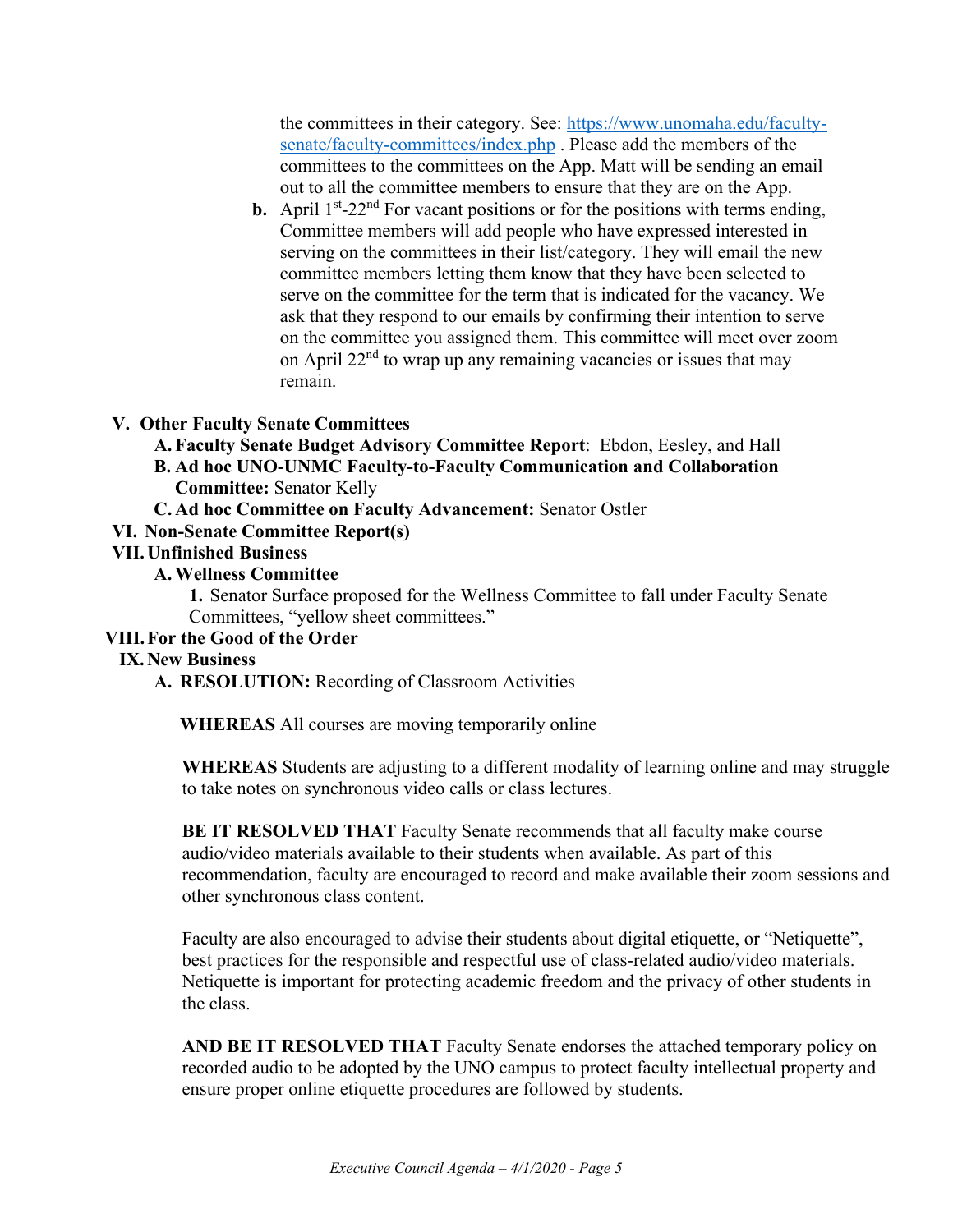the committees in their category. See: [https://www.unomaha.edu/faculty](https://www.unomaha.edu/faculty-senate/faculty-committees/index.php)[senate/faculty-committees/index.php](https://www.unomaha.edu/faculty-senate/faculty-committees/index.php) . Please add the members of the committees to the committees on the App. Matt will be sending an email out to all the committee members to ensure that they are on the App.

**b.** April  $1^{st}$ -22<sup>nd</sup> For vacant positions or for the positions with terms ending, Committee members will add people who have expressed interested in serving on the committees in their list/category. They will email the new committee members letting them know that they have been selected to serve on the committee for the term that is indicated for the vacancy. We ask that they respond to our emails by confirming their intention to serve on the committee you assigned them. This committee will meet over zoom on April  $22<sup>nd</sup>$  to wrap up any remaining vacancies or issues that may remain.

## **V. Other Faculty Senate Committees**

**A. Faculty Senate Budget Advisory Committee Report**: Ebdon, Eesley, and Hall

- **B. Ad hoc UNO-UNMC Faculty-to-Faculty Communication and Collaboration Committee:** Senator Kelly
- **C. Ad hoc Committee on Faculty Advancement:** Senator Ostler

## **VI. Non-Senate Committee Report(s)**

#### **VII.Unfinished Business**

## **A.Wellness Committee**

**1.** Senator Surface proposed for the Wellness Committee to fall under Faculty Senate Committees, "yellow sheet committees."

#### **VIII.For the Good of the Order**

# **IX.New Business**

**A. RESOLUTION:** Recording of Classroom Activities

**WHEREAS** All courses are moving temporarily online

**WHEREAS** Students are adjusting to a different modality of learning online and may struggle to take notes on synchronous video calls or class lectures.

**BE IT RESOLVED THAT** Faculty Senate recommends that all faculty make course audio/video materials available to their students when available. As part of this recommendation, faculty are encouraged to record and make available their zoom sessions and other synchronous class content.

Faculty are also encouraged to advise their students about digital etiquette, or "Netiquette", best practices for the responsible and respectful use of class-related audio/video materials. Netiquette is important for protecting academic freedom and the privacy of other students in the class.

**AND BE IT RESOLVED THAT** Faculty Senate endorses the attached temporary policy on recorded audio to be adopted by the UNO campus to protect faculty intellectual property and ensure proper online etiquette procedures are followed by students.